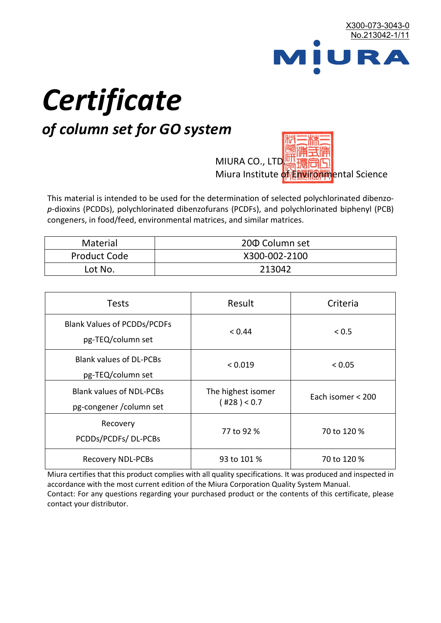

# *Certificate*

## *of column set for GO system*

MIURA CO., LTD. Miura Institute of 正版而解ental Science

This material is intended to be used for the determination of selected polychlorinated dibenzo*p*-dioxins (PCDDs), polychlorinated dibenzofurans (PCDFs), and polychlorinated biphenyl (PCB) congeners, in food/feed, environmental matrices, and similar matrices.

| <b>Material</b>     | 200 Column set |  |
|---------------------|----------------|--|
| <b>Product Code</b> | X300-002-2100  |  |
| Lot No.             | 213042         |  |

| <b>Tests</b>                                                | Result                            | Criteria          |
|-------------------------------------------------------------|-----------------------------------|-------------------|
| <b>Blank Values of PCDDs/PCDFs</b><br>pg-TEQ/column set     | < 0.44                            | < 0.5             |
| <b>Blank values of DL-PCBs</b><br>pg-TEQ/column set         | < 0.019                           | < 0.05            |
| <b>Blank values of NDL-PCBs</b><br>pg-congener / column set | The highest isomer<br>(428) < 0.7 | Each isomer < 200 |
| Recovery<br>PCDDs/PCDFs/DL-PCBs                             | 77 to 92 %                        | 70 to 120 %       |
| <b>Recovery NDL-PCBs</b>                                    | 93 to 101 %                       | 70 to 120 %       |

Miura certifies that this product complies with all quality specifications. It was produced and inspected in accordance with the most current edition of the Miura Corporation Quality System Manual. Contact: For any questions regarding your purchased product or the contents of this certificate, please contact your distributor.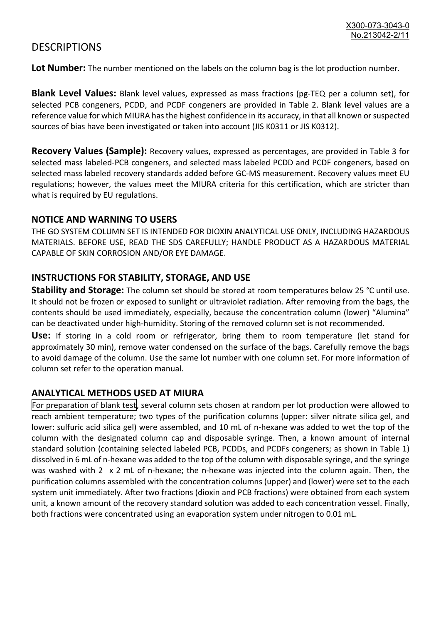### **DESCRIPTIONS**

**Lot Number:** The number mentioned on the labels on the column bag is the lot production number.

**Blank Level Values:** Blank level values, expressed as mass fractions (pg-TEQ per a column set), for selected PCB congeners, PCDD, and PCDF congeners are provided in Table 2. Blank level values are a reference value for which MIURA has the highest confidence in its accuracy, in that all known or suspected sources of bias have been investigated or taken into account (JIS K0311 or JIS K0312).

**Recovery Values (Sample):** Recovery values, expressed as percentages, are provided in Table 3 for selected mass labeled-PCB congeners, and selected mass labeled PCDD and PCDF congeners, based on selected mass labeled recovery standards added before GC-MS measurement. Recovery values meet EU regulations; however, the values meet the MIURA criteria for this certification, which are stricter than what is required by EU regulations.

#### **NOTICE AND WARNING TO USERS**

THE GO SYSTEM COLUMN SET IS INTENDED FOR DIOXIN ANALYTICAL USE ONLY, INCLUDING HAZARDOUS MATERIALS. BEFORE USE, READ THE SDS CAREFULLY; HANDLE PRODUCT AS A HAZARDOUS MATERIAL CAPABLE OF SKIN CORROSION AND/OR EYE DAMAGE.

#### **INSTRUCTIONS FOR STABILITY, STORAGE, AND USE**

**Stability and Storage:** The column set should be stored at room temperatures below 25 °C until use. It should not be frozen or exposed to sunlight or ultraviolet radiation. After removing from the bags, the contents should be used immediately, especially, because the concentration column (lower) "Alumina" can be deactivated under high-humidity. Storing of the removed column set is not recommended.

**Use:** If storing in a cold room or refrigerator, bring them to room temperature (let stand for approximately 30 min), remove water condensed on the surface of the bags. Carefully remove the bags to avoid damage of the column. Use the same lot number with one column set. For more information of column set refer to the operation manual.

#### **ANALYTICAL METHODS USED AT MIURA**

For preparation of blank test, several column sets chosen at random per lot production were allowed to reach ambient temperature; two types of the purification columns (upper: silver nitrate silica gel, and lower: sulfuric acid silica gel) were assembled, and 10 mL of n-hexane was added to wet the top of the column with the designated column cap and disposable syringe. Then, a known amount of internal standard solution (containing selected labeled PCB, PCDDs, and PCDFs congeners; as shown in Table 1) dissolved in 6 mL of n-hexane was added to the top of the column with disposable syringe, and the syringe was washed with 2 x 2 mL of n-hexane; the n-hexane was injected into the column again. Then, the purification columns assembled with the concentration columns (upper) and (lower) were set to the each system unit immediately. After two fractions (dioxin and PCB fractions) were obtained from each system unit, a known amount of the recovery standard solution was added to each concentration vessel. Finally, both fractions were concentrated using an evaporation system under nitrogen to 0.01 mL.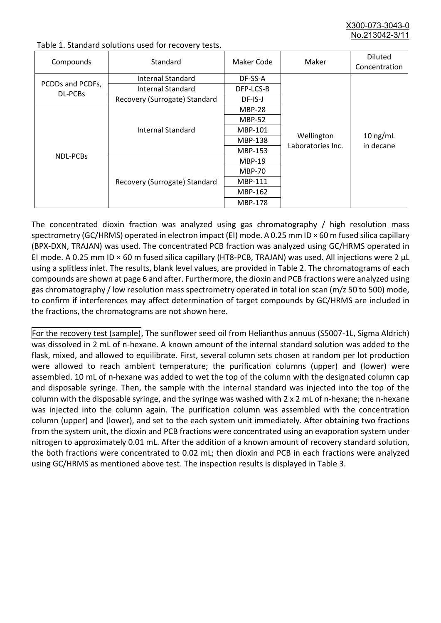X300-073-3043-0 No. 213042-3/

| Compounds                   | Standard                      | Maker Code     | Maker                           | <b>Diluted</b><br>Concentration |
|-----------------------------|-------------------------------|----------------|---------------------------------|---------------------------------|
| PCDDs and PCDFs,<br>DL-PCBs | Internal Standard             | DF-SS-A        |                                 | $10$ ng/mL<br>in decane         |
|                             | <b>Internal Standard</b>      | DFP-LCS-B      |                                 |                                 |
|                             | Recovery (Surrogate) Standard | DF-IS-J        | Wellington<br>Laboratories Inc. |                                 |
| <b>NDL-PCBs</b>             | Internal Standard             | <b>MBP-28</b>  |                                 |                                 |
|                             |                               | <b>MBP-52</b>  |                                 |                                 |
|                             |                               | MBP-101        |                                 |                                 |
|                             |                               | <b>MBP-138</b> |                                 |                                 |
|                             |                               | MBP-153        |                                 |                                 |
|                             | Recovery (Surrogate) Standard | <b>MBP-19</b>  |                                 |                                 |
|                             |                               | <b>MBP-70</b>  |                                 |                                 |
|                             |                               | MBP-111        |                                 |                                 |
|                             |                               | MBP-162        |                                 |                                 |
|                             |                               | <b>MBP-178</b> |                                 |                                 |

Table 1. Standard solutions used for recovery tests.

The concentrated dioxin fraction was analyzed using gas chromatography / high resolution mass spectrometry (GC/HRMS) operated in electron impact (EI) mode. A 0.25 mm ID × 60 m fused silica capillary (BPX-DXN, TRAJAN) was used. The concentrated PCB fraction was analyzed using GC/HRMS operated in EI mode. A 0.25 mm ID × 60 m fused silica capillary (HT8-PCB, TRAJAN) was used. All injections were 2 μL using a splitless inlet. The results, blank level values, are provided in Table 2. The chromatograms of each compounds are shown at page 6 and after. Furthermore, the dioxin and PCB fractions were analyzed using gas chromatography / low resolution mass spectrometry operated in total ion scan (m/z 50 to 500) mode, to confirm if interferences may affect determination of target compounds by GC/HRMS are included in the fractions, the chromatograms are not shown here.

For the recovery test (sample), The sunflower seed oil from Helianthus annuus (S5007-1L, Sigma Aldrich) was dissolved in 2 mL of n-hexane. A known amount of the internal standard solution was added to the flask, mixed, and allowed to equilibrate. First, several column sets chosen at random per lot production were allowed to reach ambient temperature; the purification columns (upper) and (lower) were assembled. 10 mL of n-hexane was added to wet the top of the column with the designated column cap and disposable syringe. Then, the sample with the internal standard was injected into the top of the column with the disposable syringe, and the syringe was washed with 2 x 2 mL of n-hexane; the n-hexane was injected into the column again. The purification column was assembled with the concentration column (upper) and (lower), and set to the each system unit immediately. After obtaining two fractions from the system unit, the dioxin and PCB fractions were concentrated using an evaporation system under nitrogen to approximately 0.01 mL. After the addition of a known amount of recovery standard solution, the both fractions were concentrated to 0.02 mL; then dioxin and PCB in each fractions were analyzed using GC/HRMS as mentioned above test. The inspection results is displayed in Table 3.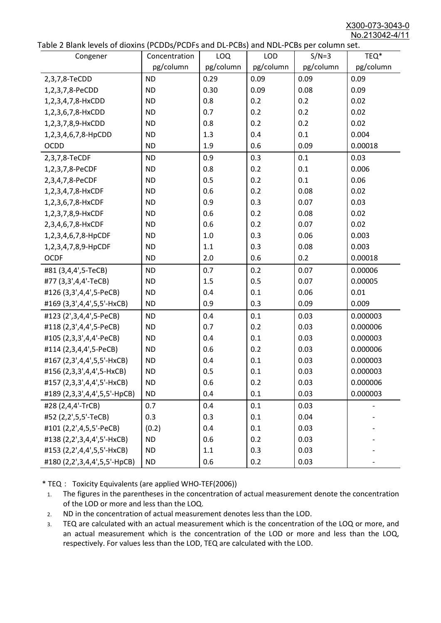X300-073-3043-0 No.213042-4/11

|  | Table 2 Blank levels of dioxins (PCDDs/PCDFs and DL-PCBs) and NDL-PCBs per column set. |
|--|----------------------------------------------------------------------------------------|
|--|----------------------------------------------------------------------------------------|

| abic 2 Diarik icveis of dioxins (I CDD3/TCDTs and DET CD3/ and NDET CD3 pcr column sett.<br>Congener | Concentration | LOQ       | <b>LOD</b> | $S/N=3$   | TEQ*      |
|------------------------------------------------------------------------------------------------------|---------------|-----------|------------|-----------|-----------|
|                                                                                                      | pg/column     | pg/column | pg/column  | pg/column | pg/column |
| 2,3,7,8-TeCDD                                                                                        | <b>ND</b>     | 0.29      | 0.09       | 0.09      | 0.09      |
| 1,2,3,7,8-PeCDD                                                                                      | <b>ND</b>     | 0.30      | 0.09       | 0.08      | 0.09      |
| 1,2,3,4,7,8-HxCDD                                                                                    | <b>ND</b>     | 0.8       | 0.2        | 0.2       | 0.02      |
| 1,2,3,6,7,8-HxCDD                                                                                    | <b>ND</b>     | 0.7       | 0.2        | 0.2       | 0.02      |
| 1,2,3,7,8,9-HxCDD                                                                                    | <b>ND</b>     | 0.8       | 0.2        | 0.2       | 0.02      |
| 1,2,3,4,6,7,8-HpCDD                                                                                  | <b>ND</b>     | 1.3       | 0.4        | 0.1       | 0.004     |
| <b>OCDD</b>                                                                                          | <b>ND</b>     | 1.9       | 0.6        | 0.09      | 0.00018   |
| 2,3,7,8-TeCDF                                                                                        | <b>ND</b>     | 0.9       | 0.3        | 0.1       | 0.03      |
| 1,2,3,7,8-PeCDF                                                                                      | <b>ND</b>     | 0.8       | 0.2        | 0.1       | 0.006     |
| 2,3,4,7,8-PeCDF                                                                                      | <b>ND</b>     | 0.5       | 0.2        | 0.1       | 0.06      |
| 1,2,3,4,7,8-HxCDF                                                                                    | <b>ND</b>     | 0.6       | 0.2        | 0.08      | 0.02      |
| 1,2,3,6,7,8-HxCDF                                                                                    | <b>ND</b>     | 0.9       | 0.3        | 0.07      | 0.03      |
| 1,2,3,7,8,9-HxCDF                                                                                    | <b>ND</b>     | 0.6       | 0.2        | 0.08      | 0.02      |
| 2,3,4,6,7,8-HxCDF                                                                                    | <b>ND</b>     | 0.6       | 0.2        | 0.07      | 0.02      |
| 1,2,3,4,6,7,8-HpCDF                                                                                  | <b>ND</b>     | 1.0       | 0.3        | 0.06      | 0.003     |
| 1,2,3,4,7,8,9-HpCDF                                                                                  | <b>ND</b>     | 1.1       | 0.3        | 0.08      | 0.003     |
| <b>OCDF</b>                                                                                          | <b>ND</b>     | 2.0       | 0.6        | 0.2       | 0.00018   |
| #81 (3,4,4',5-TeCB)                                                                                  | <b>ND</b>     | 0.7       | 0.2        | 0.07      | 0.00006   |
| #77 (3,3',4,4'-TeCB)                                                                                 | <b>ND</b>     | 1.5       | 0.5        | 0.07      | 0.00005   |
| #126 (3,3',4,4',5-PeCB)                                                                              | <b>ND</b>     | 0.4       | 0.1        | 0.06      | 0.01      |
| #169 (3,3',4,4',5,5'-HxCB)                                                                           | <b>ND</b>     | 0.9       | 0.3        | 0.09      | 0.009     |
| #123 (2',3,4,4',5-PeCB)                                                                              | <b>ND</b>     | 0.4       | 0.1        | 0.03      | 0.000003  |
| #118 (2,3',4,4',5-PeCB)                                                                              | <b>ND</b>     | 0.7       | 0.2        | 0.03      | 0.000006  |
| #105 (2,3,3',4,4'-PeCB)                                                                              | <b>ND</b>     | 0.4       | 0.1        | 0.03      | 0.000003  |
| #114 (2,3,4,4',5-PeCB)                                                                               | <b>ND</b>     | 0.6       | 0.2        | 0.03      | 0.000006  |
| #167 (2,3',4,4',5,5'-HxCB)                                                                           | <b>ND</b>     | 0.4       | 0.1        | 0.03      | 0.000003  |
| #156 (2,3,3',4,4',5-HxCB)                                                                            | <b>ND</b>     | 0.5       | 0.1        | 0.03      | 0.000003  |
| #157 (2,3,3',4,4',5'-HxCB)                                                                           | <b>ND</b>     | 0.6       | 0.2        | 0.03      | 0.000006  |
| #189 (2,3,3',4,4',5,5'-HpCB)                                                                         | <b>ND</b>     | 0.4       | 0.1        | 0.03      | 0.000003  |
| #28 (2,4,4'-TrCB)                                                                                    | 0.7           | 0.4       | 0.1        | 0.03      |           |
| #52 (2,2',5,5'-TeCB)                                                                                 | 0.3           | 0.3       | 0.1        | 0.04      |           |
| #101 (2,2',4,5,5'-PeCB)                                                                              | (0.2)         | 0.4       | 0.1        | 0.03      |           |
| #138 (2,2',3,4,4',5'-HxCB)                                                                           | <b>ND</b>     | 0.6       | 0.2        | 0.03      |           |
| #153 (2,2',4,4',5,5'-HxCB)                                                                           | <b>ND</b>     | 1.1       | 0.3        | 0.03      |           |
| #180 (2,2',3,4,4',5,5'-HpCB)                                                                         | <b>ND</b>     | 0.6       | 0.2        | 0.03      |           |

\* TEQ: Toxicity Equivalents (are applied WHO-TEF(2006))

- 1. The figures in the parentheses in the concentration of actual measurement denote the concentration of the LOD or more and less than the LOQ.
- 2. ND in the concentration of actual measurement denotes less than the LOD.
- 3. TEQ are calculated with an actual measurement which is the concentration of the LOQ or more, and an actual measurement which is the concentration of the LOD or more and less than the LOQ, respectively. For values less than the LOD, TEQ are calculated with the LOD.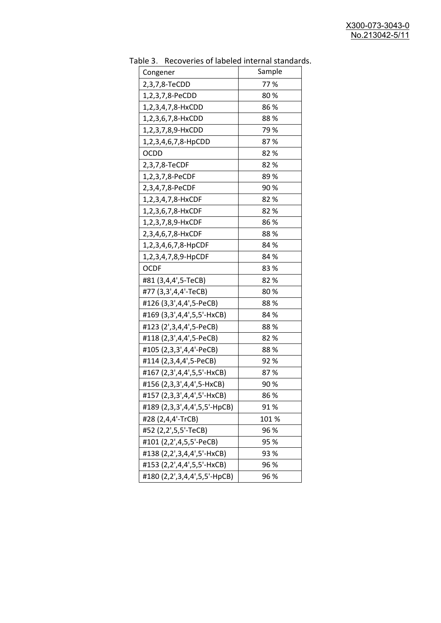| uwic J.<br><u>RECOVERTS OF RESERVED INTERNATION STATIONS</u> |        |
|--------------------------------------------------------------|--------|
| Congener                                                     | Sample |
| 2,3,7,8-TeCDD                                                | 77%    |
| 1,2,3,7,8-PeCDD                                              | 80%    |
| 1,2,3,4,7,8-HxCDD                                            | 86%    |
| 1,2,3,6,7,8-HxCDD                                            | 88 %   |
| 1,2,3,7,8,9-HxCDD                                            | 79 %   |
| 1,2,3,4,6,7,8-HpCDD                                          | 87%    |
| <b>OCDD</b>                                                  | 82%    |
| 2,3,7,8-TeCDF                                                | 82%    |
| 1,2,3,7,8-PeCDF                                              | 89%    |
| 2,3,4,7,8-PeCDF                                              | 90%    |
| 1,2,3,4,7,8-HxCDF                                            | 82%    |
| 1,2,3,6,7,8-HxCDF                                            | 82 %   |
| 1,2,3,7,8,9-HxCDF                                            | 86%    |
| 2,3,4,6,7,8-HxCDF                                            | 88%    |
| 1,2,3,4,6,7,8-HpCDF                                          | 84 %   |
| 1,2,3,4,7,8,9-HpCDF                                          | 84 %   |
| <b>OCDF</b>                                                  | 83%    |
| #81 (3,4,4',5-TeCB)                                          | 82%    |
| #77 (3,3',4,4'-TeCB)                                         | 80%    |
| #126 (3,3',4,4',5-PeCB)                                      | 88%    |
| #169 (3,3',4,4',5,5'-HxCB)                                   | 84 %   |
| #123 (2',3,4,4',5-PeCB)                                      | 88%    |
| #118 (2,3',4,4',5-PeCB)                                      | 82%    |
| #105 (2,3,3',4,4'-PeCB)                                      | 88%    |
| #114 (2,3,4,4',5-PeCB)                                       | 92%    |
| #167 (2,3',4,4',5,5'-HxCB)                                   | 87%    |
| #156 (2,3,3',4,4',5-HxCB)                                    | 90 %   |
| #157 (2,3,3',4,4',5'-HxCB)                                   | 86 %   |
| #189 (2,3,3',4,4',5,5'-HpCB)                                 | 91%    |
| #28 (2,4,4'-TrCB)                                            | 101 %  |
| #52 (2,2',5,5'-TeCB)                                         | 96 %   |
| #101 (2,2',4,5,5'-PeCB)                                      | 95 %   |
| #138 (2,2',3,4,4',5'-HxCB)                                   | 93 %   |
| #153 (2,2',4,4',5,5'-HxCB)                                   | 96 %   |
| #180 (2,2',3,4,4',5,5'-HpCB)                                 | 96 %   |

Table 3. Recoveries of labeled internal standards.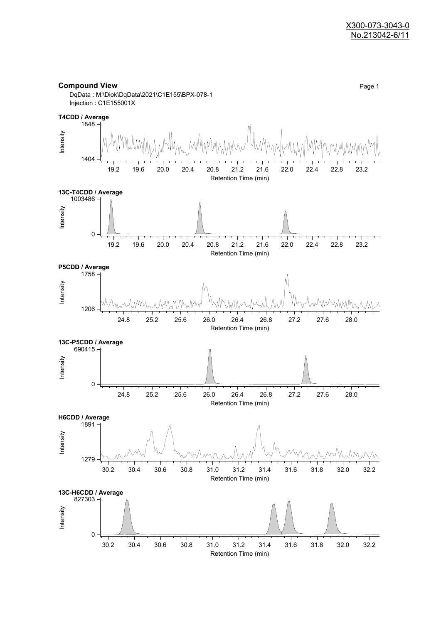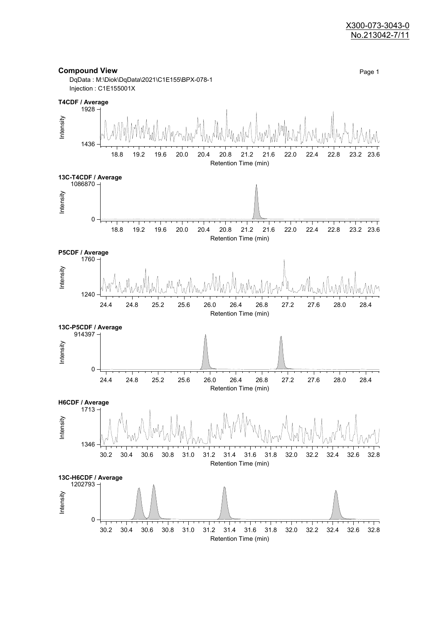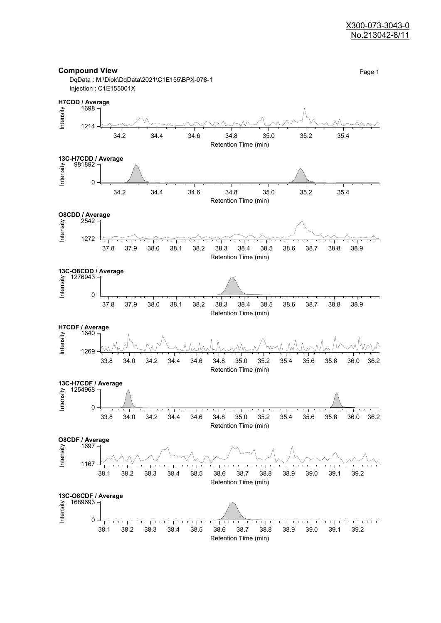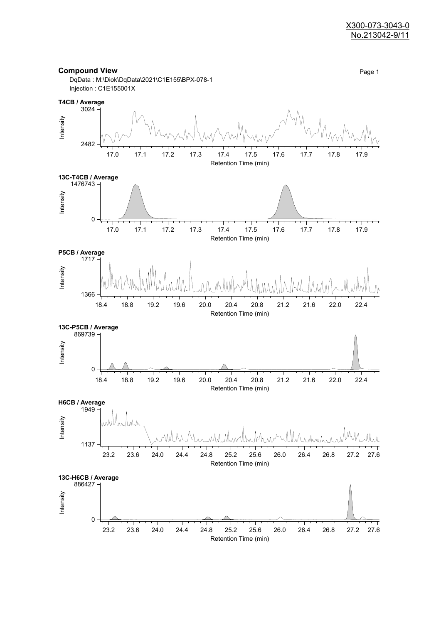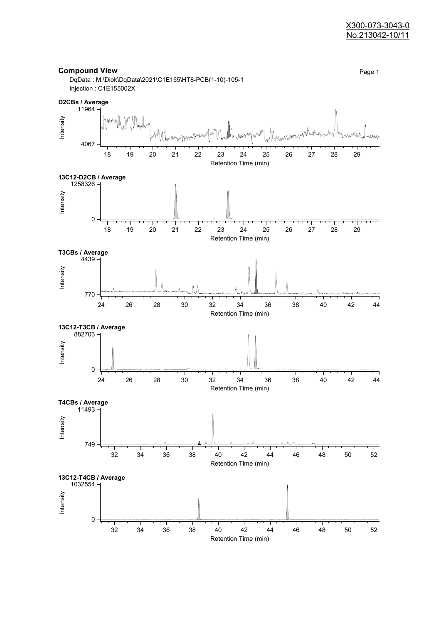#### X300-073-3043-0 No.213042-10/11